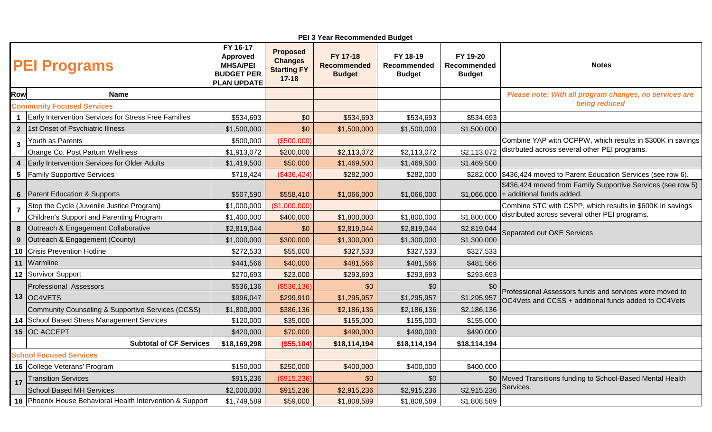| PEI 3 Year Recommended Budget     |                                                           |                                                                                           |                                                                      |                                                 |                                          |                                          |                                                                                                                 |  |  |  |  |
|-----------------------------------|-----------------------------------------------------------|-------------------------------------------------------------------------------------------|----------------------------------------------------------------------|-------------------------------------------------|------------------------------------------|------------------------------------------|-----------------------------------------------------------------------------------------------------------------|--|--|--|--|
|                                   | <b>PEI Programs</b>                                       | FY 16-17<br><b>Approved</b><br><b>MHSA/PEI</b><br><b>BUDGET PER</b><br><b>PLAN UPDATE</b> | <b>Proposed</b><br><b>Changes</b><br><b>Starting FY</b><br>$17 - 18$ | FY 17-18<br><b>Recommended</b><br><b>Budget</b> | FY 18-19<br>Recommended<br><b>Budget</b> | FY 19-20<br>Recommended<br><b>Budget</b> | <b>Notes</b>                                                                                                    |  |  |  |  |
| Row                               | <b>Name</b>                                               |                                                                                           |                                                                      |                                                 |                                          |                                          | Please note: With all program changes, no services are                                                          |  |  |  |  |
| <b>Community Focused Services</b> |                                                           |                                                                                           |                                                                      |                                                 |                                          |                                          | being reduced                                                                                                   |  |  |  |  |
|                                   | Early Intervention Services for Stress Free Families      | \$534,693                                                                                 | \$0                                                                  | \$534,693                                       | \$534,693                                | \$534,693                                |                                                                                                                 |  |  |  |  |
|                                   | 2  1st Onset of Psychiatric Illness                       | \$1,500,000                                                                               | \$0                                                                  | \$1,500,000                                     | \$1,500,000                              | \$1,500,000                              |                                                                                                                 |  |  |  |  |
| $\mathbf{3}$                      | Youth as Parents                                          | \$500,000                                                                                 | (\$500,000)                                                          |                                                 |                                          |                                          | Combine YAP with OCPPW, which results in \$300K in savings<br>distrbuted across several other PEI programs.     |  |  |  |  |
|                                   | Orange Co. Post Partum Wellness                           | \$1,913,072                                                                               | \$200,000                                                            | \$2,113,072                                     | \$2,113,072                              | \$2,113,072                              |                                                                                                                 |  |  |  |  |
| $\overline{\mathbf{4}}$           | <b>Early Intervention Services for Older Adults</b>       | \$1,419,500                                                                               | \$50,000                                                             | \$1,469,500                                     | \$1,469,500                              | \$1,469,500                              |                                                                                                                 |  |  |  |  |
| $5\phantom{.0}$                   | <b>Family Supportive Services</b>                         | \$718,424                                                                                 | (\$436,424)                                                          | \$282,000                                       | \$282,000                                |                                          | \$282,000 \$436,424 moved to Parent Education Services (see row 6).                                             |  |  |  |  |
| $6\phantom{1}6$                   | Parent Education & Supports                               | \$507,590                                                                                 | \$558,410                                                            | \$1,066,000                                     | \$1,066,000                              |                                          | \$436,424 moved from Family Supportive Services (see row 5)<br>$$1,066,000$ + additional funds added.           |  |  |  |  |
| $\overline{7}$                    | Stop the Cycle (Juvenile Justice Program)                 | \$1,000,000                                                                               | (\$1,000,000)                                                        |                                                 |                                          |                                          | Combine STC with CSPP, which results in \$600K in savings<br>distributed across several other PEI programs.     |  |  |  |  |
|                                   | Children's Support and Parenting Program                  | \$1,400,000                                                                               | \$400,000                                                            | \$1,800,000                                     | \$1,800,000                              | \$1,800,000                              |                                                                                                                 |  |  |  |  |
| 8                                 | Outreach & Engagement Collaborative                       | \$2,819,044                                                                               | \$0                                                                  | \$2,819,044                                     | \$2,819,044                              | \$2,819,044                              | Separated out O&E Services                                                                                      |  |  |  |  |
| 9                                 | Outreach & Engagement (County)                            | \$1,000,000                                                                               | \$300,000                                                            | \$1,300,000                                     | \$1,300,000                              | \$1,300,000                              |                                                                                                                 |  |  |  |  |
|                                   | 10 Crisis Prevention Hotline                              | \$272,533                                                                                 | \$55,000                                                             | \$327,533                                       | \$327,533                                | \$327,533                                |                                                                                                                 |  |  |  |  |
|                                   | 11 Warmline                                               | \$441,566                                                                                 | \$40,000                                                             | \$481,566                                       | \$481,566                                | \$481,566                                |                                                                                                                 |  |  |  |  |
|                                   | 12 Survivor Support                                       | \$270,693                                                                                 | \$23,000                                                             | \$293,693                                       | \$293,693                                | \$293,693                                |                                                                                                                 |  |  |  |  |
|                                   | <b>Professional Assessors</b>                             | \$536,136                                                                                 | (\$536,136)                                                          | \$0                                             | \$0                                      | \$0                                      | Professional Assessors funds and services were moved to<br>OC4Vets and CCSS + additional funds added to OC4Vets |  |  |  |  |
|                                   | 13 OC4VETS                                                | \$996,047                                                                                 | \$299,910                                                            | \$1,295,957                                     | \$1,295,957                              | \$1,295,957                              |                                                                                                                 |  |  |  |  |
|                                   | Community Counseling & Supportive Services (CCSS)         | \$1,800,000                                                                               | \$386,136                                                            | \$2,186,136                                     | \$2,186,136                              | \$2,186,136                              |                                                                                                                 |  |  |  |  |
|                                   | 14 School Based Stress Management Services                | \$120,000                                                                                 | \$35,000                                                             | \$155,000                                       | \$155,000                                | \$155,000                                |                                                                                                                 |  |  |  |  |
|                                   | 15 OC ACCEPT                                              | \$420,000                                                                                 | \$70,000                                                             | \$490,000                                       | \$490,000                                | \$490,000                                |                                                                                                                 |  |  |  |  |
|                                   | <b>Subtotal of CF Services</b>                            | \$18,169,298                                                                              | (\$55,104)                                                           | \$18,114,194                                    | \$18,114,194                             | \$18,114,194                             |                                                                                                                 |  |  |  |  |
| <b>School Focused Services</b>    |                                                           |                                                                                           |                                                                      |                                                 |                                          |                                          |                                                                                                                 |  |  |  |  |
|                                   | 16 College Veterans' Program                              | \$150,000                                                                                 | \$250,000                                                            | \$400,000                                       | \$400,000                                | \$400,000                                |                                                                                                                 |  |  |  |  |
| 17                                | <b>Transition Services</b>                                | \$915,236                                                                                 | (\$915,236)                                                          | \$0                                             | \$0                                      |                                          | \$0   Moved Transitions funding to School-Based Mental Health                                                   |  |  |  |  |
|                                   | <b>School Based MH Services</b>                           | \$2,000,000                                                                               | \$915,236                                                            | \$2,915,236                                     | \$2,915,236                              | \$2,915,236                              | Services.                                                                                                       |  |  |  |  |
|                                   | 18 Phoenix House Behavioral Health Intervention & Support | \$1,749,589                                                                               | \$59,000                                                             | \$1,808,589                                     | \$1,808,589                              | \$1,808,589                              |                                                                                                                 |  |  |  |  |